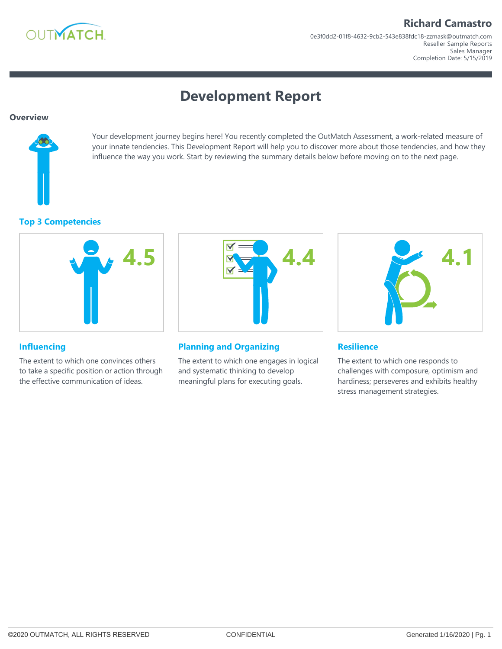

Reseller Sample Reports Sales Manager 0e3f0dd2‐01f8‐4632‐9cb2‐543e838fdc18‐zzmask@outmatch.com Completion Date: 5/15/2019

# **Development Report**

#### **Overview**



Your development journey begins here! You recently completed the OutMatch Assessment, a work-related measure of your innate tendencies. This Development Report will help you to discover more about those tendencies, and how they influence the way you work. Start by reviewing the summary details below before moving on to the next page.

#### **Top 3 Competencies**



# **4.4**

#### **Planning and Organizing**

The extent to which one engages in logical and systematic thinking to develop meaningful plans for executing goals.



#### **Resilience**

The extent to which one responds to challenges with composure, optimism and hardiness; perseveres and exhibits healthy stress management strategies.

### **Influencing**

The extent to which one convinces others to take a specific position or action through the effective communication of ideas.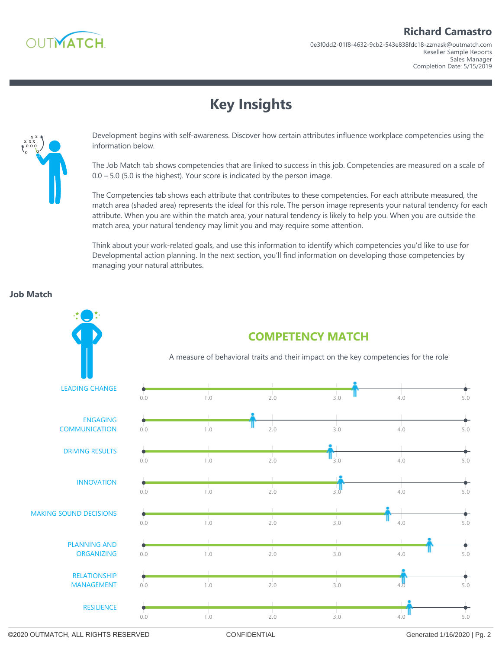

0e3f0dd2‐01f8‐4632‐9cb2‐543e838fdc18‐zzmask@outmatch.com

Reseller Sample Reports Sales Manager

Completion Date: 5/15/2019

# **Key Insights**



Development begins with self‐awareness. Discover how certain attributes influence workplace competencies using the information below.

The Job Match tab shows competencies that are linked to success in this job. Competencies are measured on a scale of  $0.0 - 5.0$  (5.0 is the highest). Your score is indicated by the person image.

The Competencies tab shows each attribute that contributes to these competencies. For each attribute measured, the match area (shaded area) represents the ideal for this role. The person image represents your natural tendency for each attribute. When you are within the match area, your natural tendency is likely to help you. When you are outside the match area, your natural tendency may limit you and may require some attention.

Think about your work‐related goals, and use this information to identify which competencies you'd like to use for Developmental action planning. In the next section, you'll find information on developing those competencies by managing your natural attributes.

#### **Job Match**



©2020 OUTMATCH, ALL RIGHTS RESERVED CONFIDENTIAL Generated 1/16/2020 | Pg. 2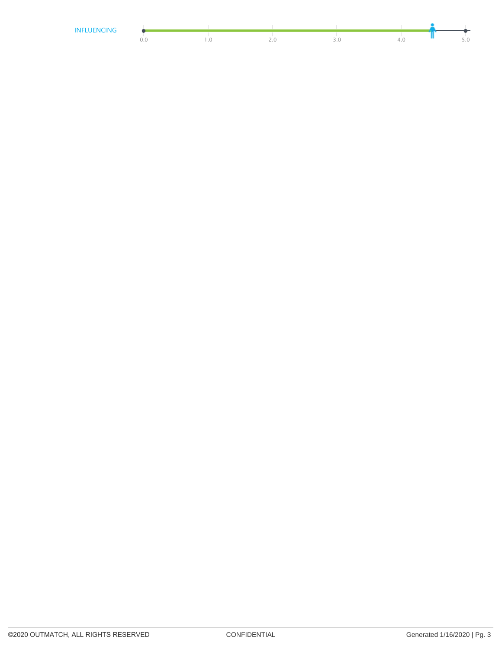| INIEI<br>NIC<br>IN 17 – |  |  |  |
|-------------------------|--|--|--|
|                         |  |  |  |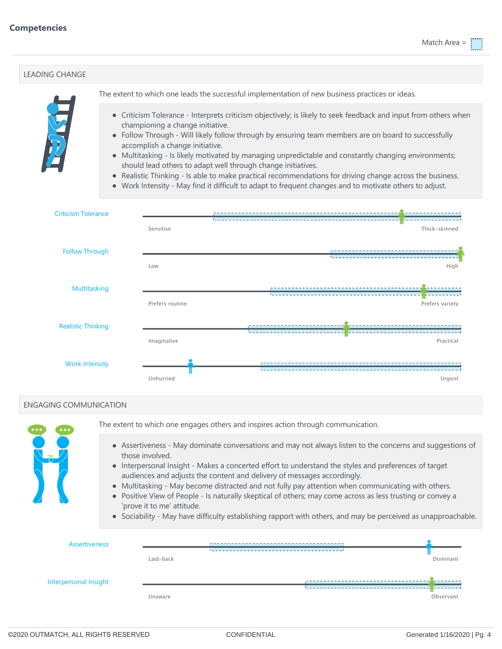| <b>LEADING CHANGE</b>                                                                                                    |                                                                                                                                        |                                                                                                                                                                                                                                                                                                                                                                                                                                                                                                                                                                                                                                                                                            |  |  |  |                 |
|--------------------------------------------------------------------------------------------------------------------------|----------------------------------------------------------------------------------------------------------------------------------------|--------------------------------------------------------------------------------------------------------------------------------------------------------------------------------------------------------------------------------------------------------------------------------------------------------------------------------------------------------------------------------------------------------------------------------------------------------------------------------------------------------------------------------------------------------------------------------------------------------------------------------------------------------------------------------------------|--|--|--|-----------------|
|                                                                                                                          |                                                                                                                                        | The extent to which one leads the successful implementation of new business practices or ideas.                                                                                                                                                                                                                                                                                                                                                                                                                                                                                                                                                                                            |  |  |  |                 |
| E                                                                                                                        |                                                                                                                                        | • Criticism Tolerance - Interprets criticism objectively; is likely to seek feedback and input from others when<br>championing a change initiative.<br>• Follow Through - Will likely follow through by ensuring team members are on board to successfully<br>accomplish a change initiative.<br>• Multitasking - Is likely motivated by managing unpredictable and constantly changing environments;<br>should lead others to adapt well through change initiatives.<br>Realistic Thinking - Is able to make practical recommendations for driving change across the business.<br>• Work Intensity - May find it difficult to adapt to frequent changes and to motivate others to adjust. |  |  |  |                 |
| <b>Criticism Tolerance</b>                                                                                               |                                                                                                                                        |                                                                                                                                                                                                                                                                                                                                                                                                                                                                                                                                                                                                                                                                                            |  |  |  |                 |
|                                                                                                                          |                                                                                                                                        | Sensitive                                                                                                                                                                                                                                                                                                                                                                                                                                                                                                                                                                                                                                                                                  |  |  |  | Thick-skinned   |
| <b>Follow Through</b>                                                                                                    |                                                                                                                                        |                                                                                                                                                                                                                                                                                                                                                                                                                                                                                                                                                                                                                                                                                            |  |  |  |                 |
|                                                                                                                          |                                                                                                                                        | Low                                                                                                                                                                                                                                                                                                                                                                                                                                                                                                                                                                                                                                                                                        |  |  |  | High            |
|                                                                                                                          | Multitasking                                                                                                                           |                                                                                                                                                                                                                                                                                                                                                                                                                                                                                                                                                                                                                                                                                            |  |  |  |                 |
|                                                                                                                          |                                                                                                                                        |                                                                                                                                                                                                                                                                                                                                                                                                                                                                                                                                                                                                                                                                                            |  |  |  | Prefers variety |
| <b>Realistic Thinking</b>                                                                                                |                                                                                                                                        |                                                                                                                                                                                                                                                                                                                                                                                                                                                                                                                                                                                                                                                                                            |  |  |  |                 |
|                                                                                                                          |                                                                                                                                        | Imaginative                                                                                                                                                                                                                                                                                                                                                                                                                                                                                                                                                                                                                                                                                |  |  |  | Practical       |
| <b>Work Intensity</b>                                                                                                    |                                                                                                                                        |                                                                                                                                                                                                                                                                                                                                                                                                                                                                                                                                                                                                                                                                                            |  |  |  |                 |
|                                                                                                                          |                                                                                                                                        | Unhurried                                                                                                                                                                                                                                                                                                                                                                                                                                                                                                                                                                                                                                                                                  |  |  |  | Urgent          |
| <b>ENGAGING COMMUNICATION</b>                                                                                            |                                                                                                                                        |                                                                                                                                                                                                                                                                                                                                                                                                                                                                                                                                                                                                                                                                                            |  |  |  |                 |
|                                                                                                                          |                                                                                                                                        | The extent to which one engages others and inspires action through communication.                                                                                                                                                                                                                                                                                                                                                                                                                                                                                                                                                                                                          |  |  |  |                 |
|                                                                                                                          |                                                                                                                                        | • Assertiveness - May dominate conversations and may not always listen to the concerns and suggestions of                                                                                                                                                                                                                                                                                                                                                                                                                                                                                                                                                                                  |  |  |  |                 |
| those involved.<br>• Interpersonal Insight - Makes a concerted effort to understand the styles and preferences of target |                                                                                                                                        |                                                                                                                                                                                                                                                                                                                                                                                                                                                                                                                                                                                                                                                                                            |  |  |  |                 |
|                                                                                                                          |                                                                                                                                        | audiences and adjusts the content and delivery of messages accordingly.<br>Multitasking - May become distracted and not fully pay attention when communicating with others.                                                                                                                                                                                                                                                                                                                                                                                                                                                                                                                |  |  |  |                 |
|                                                                                                                          | Positive View of People - Is naturally skeptical of others; may come across as less trusting or convey a<br>'prove it to me' attitude. |                                                                                                                                                                                                                                                                                                                                                                                                                                                                                                                                                                                                                                                                                            |  |  |  |                 |
|                                                                                                                          |                                                                                                                                        | • Sociability - May have difficulty establishing rapport with others, and may be perceived as unapproachable.                                                                                                                                                                                                                                                                                                                                                                                                                                                                                                                                                                              |  |  |  |                 |
| <b>Assertiveness</b>                                                                                                     |                                                                                                                                        |                                                                                                                                                                                                                                                                                                                                                                                                                                                                                                                                                                                                                                                                                            |  |  |  |                 |
|                                                                                                                          |                                                                                                                                        | Laid-back                                                                                                                                                                                                                                                                                                                                                                                                                                                                                                                                                                                                                                                                                  |  |  |  | Dominant        |
| Interpersonal Insight                                                                                                    |                                                                                                                                        |                                                                                                                                                                                                                                                                                                                                                                                                                                                                                                                                                                                                                                                                                            |  |  |  |                 |
|                                                                                                                          |                                                                                                                                        | Unaware                                                                                                                                                                                                                                                                                                                                                                                                                                                                                                                                                                                                                                                                                    |  |  |  | Observant       |
|                                                                                                                          |                                                                                                                                        |                                                                                                                                                                                                                                                                                                                                                                                                                                                                                                                                                                                                                                                                                            |  |  |  |                 |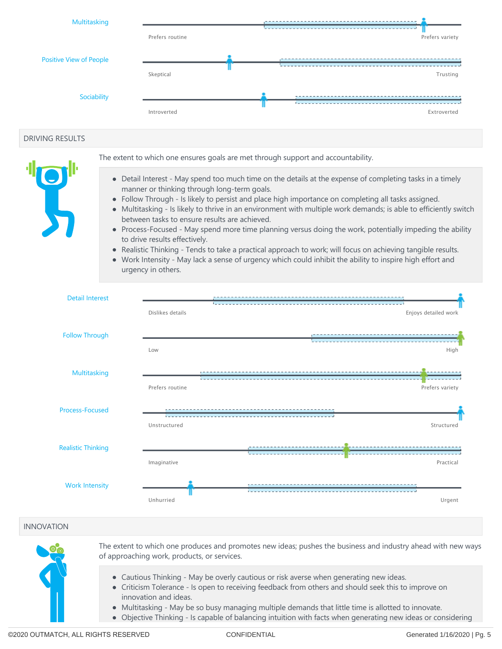

#### DRIVING RESULTS



The extent to which one ensures goals are met through support and accountability.

- Detail Interest May spend too much time on the details at the expense of completing tasks in a timely manner or thinking through long‐term goals.
- Follow Through Is likely to persist and place high importance on completing all tasks assigned.
- Multitasking Is likely to thrive in an environment with multiple work demands; is able to efficiently switch between tasks to ensure results are achieved.
- Process-Focused May spend more time planning versus doing the work, potentially impeding the ability to drive results effectively.
- Realistic Thinking Tends to take a practical approach to work; will focus on achieving tangible results.
- Work Intensity May lack a sense of urgency which could inhibit the ability to inspire high effort and urgency in others.



#### INNOVATION



The extent to which one produces and promotes new ideas; pushes the business and industry ahead with new ways of approaching work, products, or services.

- Cautious Thinking May be overly cautious or risk averse when generating new ideas.
- Criticism Tolerance Is open to receiving feedback from others and should seek this to improve on innovation and ideas.
- Multitasking May be so busy managing multiple demands that little time is allotted to innovate.
- Objective Thinking Is capable of balancing intuition with facts when generating new ideas or considering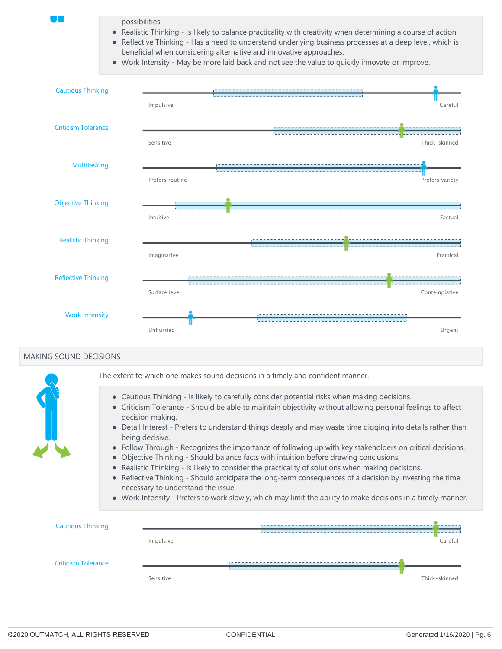possibilities.

- Realistic Thinking Is likely to balance practicality with creativity when determining a course of action.
- Reflective Thinking Has a need to understand underlying business processes at a deep level, which is beneficial when considering alternative and innovative approaches.
- Work Intensity May be more laid back and not see the value to quickly innovate or improve.



#### MAKING SOUND DECISIONS



The extent to which one makes sound decisions in a timely and confident manner.

- Cautious Thinking Is likely to carefully consider potential risks when making decisions.
- Criticism Tolerance Should be able to maintain objectivity without allowing personal feelings to affect decision making.
- Detail Interest Prefers to understand things deeply and may waste time digging into details rather than being decisive.
- Follow Through Recognizes the importance of following up with key stakeholders on critical decisions.
- Objective Thinking Should balance facts with intuition before drawing conclusions.
- Realistic Thinking Is likely to consider the practicality of solutions when making decisions.
- Reflective Thinking ‐ Should anticipate the long‐term consequences of a decision by investing the time necessary to understand the issue.
- Work Intensity Prefers to work slowly, which may limit the ability to make decisions in a timely manner.

| <b>Cautious Thinking</b>   |           |               |
|----------------------------|-----------|---------------|
|                            | Impulsive | Careful       |
| <b>Criticism Tolerance</b> |           |               |
|                            | Sensitive | Thick-skinned |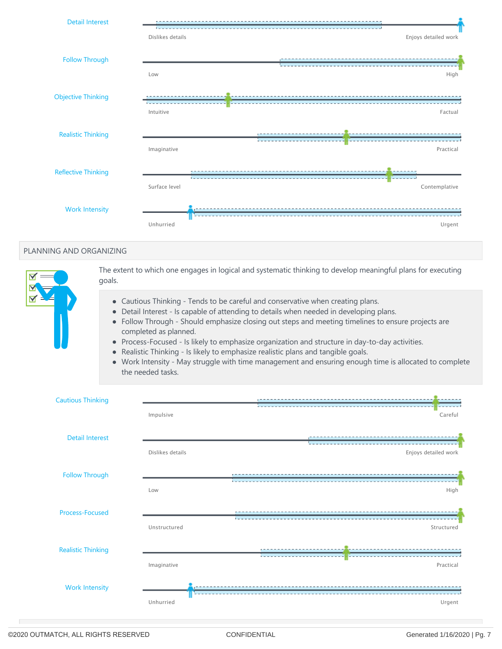

#### PLANNING AND ORGANIZING



The extent to which one engages in logical and systematic thinking to develop meaningful plans for executing goals.

- Cautious Thinking Tends to be careful and conservative when creating plans.
- Detail Interest Is capable of attending to details when needed in developing plans.
- Follow Through ‐ Should emphasize closing out steps and meeting timelines to ensure projects are  $\bullet$ completed as planned.
- Process-Focused Is likely to emphasize organization and structure in day-to-day activities.
- Realistic Thinking ‐ Is likely to emphasize realistic plans and tangible goals.  $\bullet$
- Work Intensity May struggle with time management and ensuring enough time is allocated to complete  $\bullet$ the needed tasks.

| <b>Cautious Thinking</b>  |                  | <b><i><u>Programmation</u></i></b> |
|---------------------------|------------------|------------------------------------|
|                           | Impulsive        | Careful                            |
| <b>Detail Interest</b>    |                  |                                    |
|                           | Dislikes details | Enjoys detailed work               |
| <b>Follow Through</b>     |                  | ----------------------------       |
|                           | Low              | High                               |
| <b>Process-Focused</b>    |                  |                                    |
|                           | Unstructured     | Structured                         |
| <b>Realistic Thinking</b> |                  |                                    |
|                           | Imaginative      | Practical                          |
| <b>Work Intensity</b>     |                  |                                    |
|                           | Unhurried        | Urgent                             |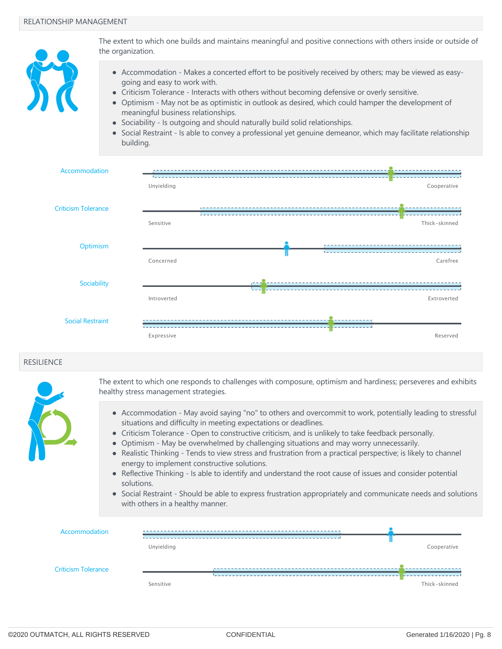

The extent to which one builds and maintains meaningful and positive connections with others inside or outside of the organization.

- Accommodation Makes a concerted effort to be positively received by others; may be viewed as easygoing and easy to work with.
- Criticism Tolerance Interacts with others without becoming defensive or overly sensitive.
- Optimism May not be as optimistic in outlook as desired, which could hamper the development of meaningful business relationships.
- Sociability Is outgoing and should naturally build solid relationships.
- Social Restraint Is able to convey a professional yet genuine demeanor, which may facilitate relationship building.



#### **RESILIENCE**



The extent to which one responds to challenges with composure, optimism and hardiness; perseveres and exhibits healthy stress management strategies.

- Accommodation May avoid saying "no" to others and overcommit to work, potentially leading to stressful situations and difficulty in meeting expectations or deadlines.
- Criticism Tolerance Open to constructive criticism, and is unlikely to take feedback personally.
- Optimism May be overwhelmed by challenging situations and may worry unnecessarily.
- Realistic Thinking Tends to view stress and frustration from a practical perspective; is likely to channel energy to implement constructive solutions.
- Reflective Thinking Is able to identify and understand the root cause of issues and consider potential solutions.
- Social Restraint Should be able to express frustration appropriately and communicate needs and solutions with others in a healthy manner.

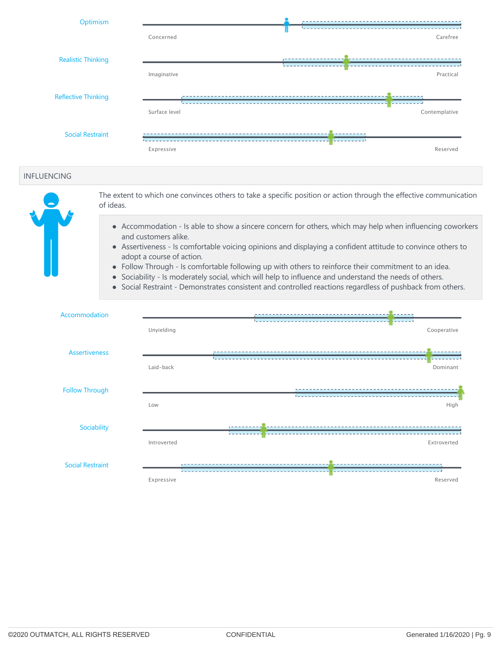| Optimism                   |               |               |
|----------------------------|---------------|---------------|
|                            | Concerned     | Carefree      |
| <b>Realistic Thinking</b>  |               |               |
|                            | Imaginative   | Practical     |
| <b>Reflective Thinking</b> |               |               |
|                            | Surface level | Contemplative |
| <b>Social Restraint</b>    |               |               |
|                            | Expressive    | Reserved      |

#### INFLUENCING



The extent to which one convinces others to take a specific position or action through the effective communication of ideas.

- Accommodation Is able to show a sincere concern for others, which may help when influencing coworkers and customers alike.
- Assertiveness ‐ Is comfortable voicing opinions and displaying a confident attitude to convince others to adopt a course of action.
- Follow Through Is comfortable following up with others to reinforce their commitment to an idea.
- Sociability Is moderately social, which will help to influence and understand the needs of others.
- Social Restraint ‐ Demonstrates consistent and controlled reactions regardless of pushback from others.

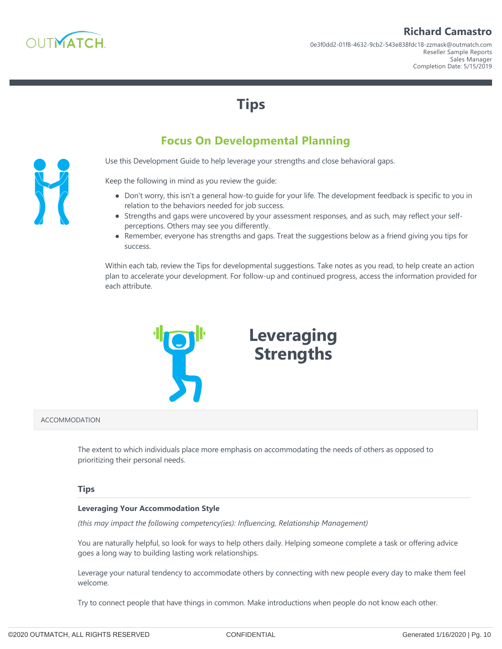

## **Richard Camastro**

**Tips**

## **Focus On Developmental Planning**

Use this Development Guide to help leverage your strengths and close behavioral gaps.

Keep the following in mind as you review the guide:

- Don't worry, this isn't a general how-to guide for your life. The development feedback is specific to you in relation to the behaviors needed for job success.
- Strengths and gaps were uncovered by your assessment responses, and as such, may reflect your selfperceptions. Others may see you differently.
- Remember, everyone has strengths and gaps. Treat the suggestions below as a friend giving you tips for success.

Within each tab, review the Tips for developmental suggestions. Take notes as you read, to help create an action plan to accelerate your development. For follow‐up and continued progress, access the information provided for each attribute.



#### ACCOMMODATION

The extent to which individuals place more emphasis on accommodating the needs of others as opposed to prioritizing their personal needs.

#### **Tips**

#### **Leveraging Your Accommodation Style**

*(this may impact the following competency(ies): Influencing, Relationship Management)*

You are naturally helpful, so look for ways to help others daily. Helping someone complete a task or offering advice goes a long way to building lasting work relationships.

Leverage your natural tendency to accommodate others by connecting with new people every day to make them feel welcome.

Try to connect people that have things in common. Make introductions when people do not know each other.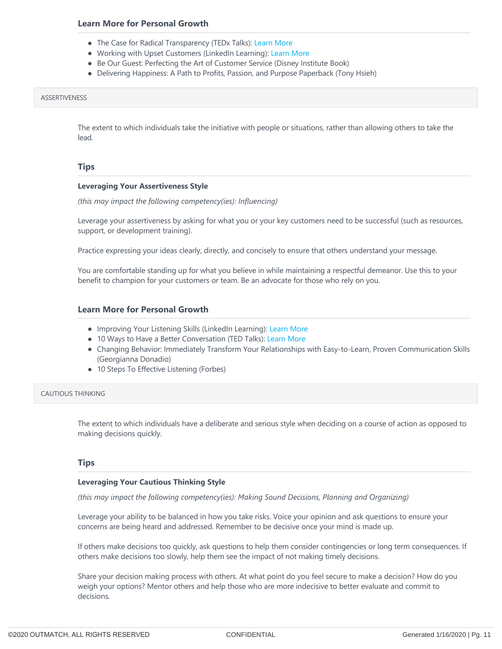- The Case for Radical Transparency (TEDx Talks): [Learn More](https://www.youtube.com/watch?v=oVKaXUB4EFg)
- Working with Upset Customers (LinkedIn Learning): [Learn More](https://www.linkedin.com/learning/working-with-upset-customers)
- Be Our Guest: Perfecting the Art of Customer Service (Disney Institute Book)
- Delivering Happiness: A Path to Profits, Passion, and Purpose Paperback (Tony Hsieh)

#### ASSERTIVENESS

The extent to which individuals take the initiative with people or situations, rather than allowing others to take the lead.

#### **Tips**

#### **Leveraging Your Assertiveness Style**

*(this may impact the following competency(ies): Influencing)*

Leverage your assertiveness by asking for what you or your key customers need to be successful (such as resources, support, or development training).

Practice expressing your ideas clearly, directly, and concisely to ensure that others understand your message.

You are comfortable standing up for what you believe in while maintaining a respectful demeanor. Use this to your benefit to champion for your customers or team. Be an advocate for those who rely on you.

#### **Learn More for Personal Growth**

- Improving Your Listening Skills (LinkedIn Learning): [Learn More](https://www.linkedin.com/learning/improving-your-listening-skills)
- 10 Ways to Have a Better Conversation (TED Talks): [Learn More](https://www.ted.com/talks/celeste_headlee_10_ways_to_have_a_better_conversation)
- Changing Behavior: Immediately Transform Your Relationships with Easy‐to‐Learn, Proven Communication Skills (Georgianna Donadio)
- 10 Steps To Effective Listening (Forbes)

#### CAUTIOUS THINKING

The extent to which individuals have a deliberate and serious style when deciding on a course of action as opposed to making decisions quickly.

#### **Tips**

#### **Leveraging Your Cautious Thinking Style**

*(this may impact the following competency(ies): Making Sound Decisions, Planning and Organizing)*

Leverage your ability to be balanced in how you take risks. Voice your opinion and ask questions to ensure your concerns are being heard and addressed. Remember to be decisive once your mind is made up.

If others make decisions too quickly, ask questions to help them consider contingencies or long term consequences. If others make decisions too slowly, help them see the impact of not making timely decisions.

Share your decision making process with others. At what point do you feel secure to make a decision? How do you weigh your options? Mentor others and help those who are more indecisive to better evaluate and commit to decisions.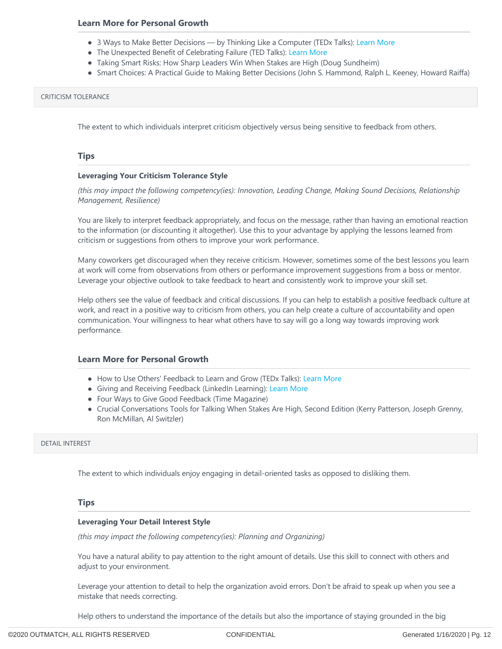- 3 Ways to Make Better Decisions by Thinking Like a Computer (TEDx Talks): [Learn More](https://www.ted.com/talks/tom_griffiths_3_ways_to_make_better_decisions_by_thinking_like_a_computer?language=en)
- The Unexpected Benefit of Celebrating Failure (TED Talks): [Learn More](https://www.ted.com/talks/astro_teller_the_unexpected_benefit_of_celebrating_failure?language=en)
- Taking Smart Risks: How Sharp Leaders Win When Stakes are High (Doug Sundheim)
- Smart Choices: A Practical Guide to Making Better Decisions (John S. Hammond, Ralph L. Keeney, Howard Raiffa)

#### CRITICISM TOLERANCE

The extent to which individuals interpret criticism objectively versus being sensitive to feedback from others.

#### **Tips**

#### **Leveraging Your Criticism Tolerance Style**

*(this may impact the following competency(ies): Innovation, Leading Change, Making Sound Decisions, Relationship Management, Resilience)*

You are likely to interpret feedback appropriately, and focus on the message, rather than having an emotional reaction to the information (or discounting it altogether). Use this to your advantage by applying the lessons learned from criticism or suggestions from others to improve your work performance.

Many coworkers get discouraged when they receive criticism. However, sometimes some of the best lessons you learn at work will come from observations from others or performance improvement suggestions from a boss or mentor. Leverage your objective outlook to take feedback to heart and consistently work to improve your skill set.

Help others see the value of feedback and critical discussions. If you can help to establish a positive feedback culture at work, and react in a positive way to criticism from others, you can help create a culture of accountability and open communication. Your willingness to hear what others have to say will go a long way towards improving work performance.

#### **Learn More for Personal Growth**

- How to Use Others' Feedback to Learn and Grow (TEDx Talks): [Learn More](https://www.youtube.com/watch?v=FQNbaKkYk_Q)
- Giving and Receiving Feedback (LinkedIn Learning): [Learn More](https://www.linkedin.com/learning/giving-and-receiving-feedback)
- Four Ways to Give Good Feedback (Time Magazine)
- Crucial Conversations Tools for Talking When Stakes Are High, Second Edition (Kerry Patterson, Joseph Grenny, Ron McMillan, Al Switzler)

#### DETAIL INTEREST

The extent to which individuals enjoy engaging in detail‐oriented tasks as opposed to disliking them.

#### **Tips**

#### **Leveraging Your Detail Interest Style**

*(this may impact the following competency(ies): Planning and Organizing)*

You have a natural ability to pay attention to the right amount of details. Use this skill to connect with others and adjust to your environment.

Leverage your attention to detail to help the organization avoid errors. Don't be afraid to speak up when you see a mistake that needs correcting.

Help others to understand the importance of the details but also the importance of staying grounded in the big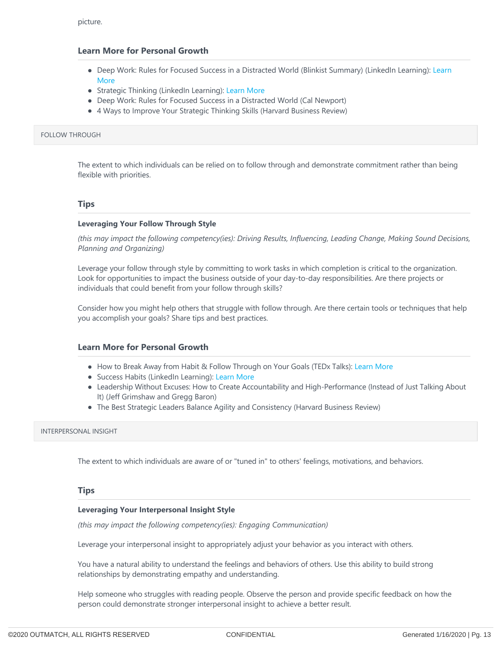- Deep Work: Rules for Focused Success in a Distracted World (Blinkist Summary) (LinkedIn Learning): Learn More
- Strategic Thinking (LinkedIn Learning): [Learn More](https://www.linkedin.com/learning/strategic-thinking)
- Deep Work: Rules for Focused Success in a Distracted World (Cal Newport)
- 4 Ways to Improve Your Strategic Thinking Skills (Harvard Business Review)

#### FOLLOW THROUGH

The extent to which individuals can be relied on to follow through and demonstrate commitment rather than being flexible with priorities.

#### **Tips**

#### **Leveraging Your Follow Through Style**

*(this may impact the following competency(ies): Driving Results, Influencing, Leading Change, Making Sound Decisions, Planning and Organizing)*

Leverage your follow through style by committing to work tasks in which completion is critical to the organization. Look for opportunities to impact the business outside of your day-to-day responsibilities. Are there projects or individuals that could benefit from your follow through skills?

Consider how you might help others that struggle with follow through. Are there certain tools or techniques that help you accomplish your goals? Share tips and best practices.

#### **Learn More for Personal Growth**

- How to Break Away from Habit & Follow Through on Your Goals (TEDx Talks): [Learn More](https://www.youtube.com/watch?v=9EDl2INyJgw)
- Success Habits (LinkedIn Learning): [Learn More](https://www.linkedin.com/learning/success-habits)
- Leadership Without Excuses: How to Create Accountability and High-Performance (Instead of Just Talking About It) (Jeff Grimshaw and Gregg Baron)
- The Best Strategic Leaders Balance Agility and Consistency (Harvard Business Review)

#### INTERPERSONAL INSIGHT

The extent to which individuals are aware of or "tuned in" to others' feelings, motivations, and behaviors.

#### **Tips**

#### **Leveraging Your Interpersonal Insight Style**

*(this may impact the following competency(ies): Engaging Communication)*

Leverage your interpersonal insight to appropriately adjust your behavior as you interact with others.

You have a natural ability to understand the feelings and behaviors of others. Use this ability to build strong relationships by demonstrating empathy and understanding.

Help someone who struggles with reading people. Observe the person and provide specific feedback on how the person could demonstrate stronger interpersonal insight to achieve a better result.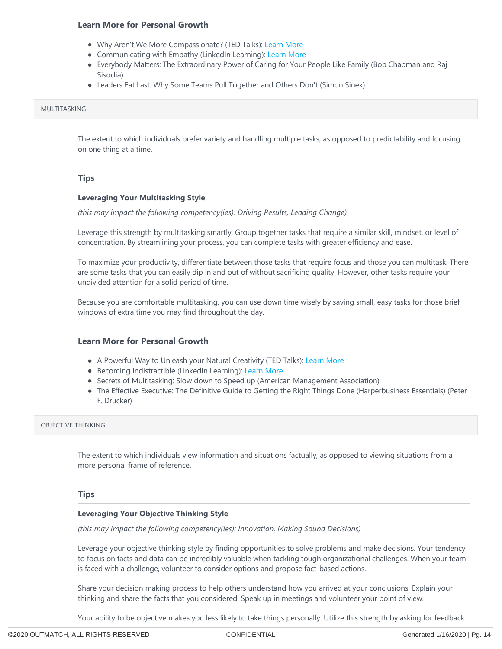- Why Aren't We More Compassionate? (TED Talks): [Learn More](https://www.ted.com/talks/daniel_goleman_on_compassion?language=en)
- Communicating with Empathy (LinkedIn Learning): [Learn More](https://www.linkedin.com/learning/communicating-with-empathy)
- Everybody Matters: The Extraordinary Power of Caring for Your People Like Family (Bob Chapman and Raj Sisodia)
- Leaders Eat Last: Why Some Teams Pull Together and Others Don't (Simon Sinek)

#### MULTITASKING

The extent to which individuals prefer variety and handling multiple tasks, as opposed to predictability and focusing on one thing at a time.

#### **Tips**

#### **Leveraging Your Multitasking Style**

*(this may impact the following competency(ies): Driving Results, Leading Change)*

Leverage this strength by multitasking smartly. Group together tasks that require a similar skill, mindset, or level of concentration. By streamlining your process, you can complete tasks with greater efficiency and ease.

To maximize your productivity, differentiate between those tasks that require focus and those you can multitask. There are some tasks that you can easily dip in and out of without sacrificing quality. However, other tasks require your undivided attention for a solid period of time.

Because you are comfortable multitasking, you can use down time wisely by saving small, easy tasks for those brief windows of extra time you may find throughout the day.

#### **Learn More for Personal Growth**

- A Powerful Way to Unleash your Natural Creativity (TED Talks): [Learn More](https://www.youtube.com/watch?v=yjYrxcGSWX4)
- Becoming Indistractible (LinkedIn Learning): [Learn More](https://www.linkedin.com/learning/becoming-indistractable)
- Secrets of Multitasking: Slow down to Speed up (American Management Association)
- The Effective Executive: The Definitive Guide to Getting the Right Things Done (Harperbusiness Essentials) (Peter F. Drucker)

#### OBJECTIVE THINKING

The extent to which individuals view information and situations factually, as opposed to viewing situations from a more personal frame of reference.

#### **Tips**

#### **Leveraging Your Objective Thinking Style**

*(this may impact the following competency(ies): Innovation, Making Sound Decisions)*

Leverage your objective thinking style by finding opportunities to solve problems and make decisions. Your tendency to focus on facts and data can be incredibly valuable when tackling tough organizational challenges. When your team is faced with a challenge, volunteer to consider options and propose fact‐based actions.

Share your decision making process to help others understand how you arrived at your conclusions. Explain your thinking and share the facts that you considered. Speak up in meetings and volunteer your point of view.

Your ability to be objective makes you less likely to take things personally. Utilize this strength by asking for feedback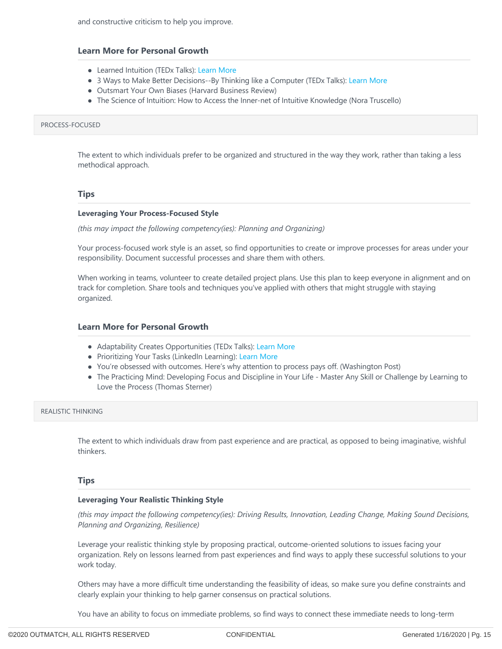- Learned Intuition (TEDx Talks): [Learn More](https://www.youtube.com/watch?v=_FfypyFsGhk)
- 3 Ways to Make Better Decisions--By Thinking like a Computer (TEDx Talks): [Learn More](https://www.ted.com/talks/tom_griffiths_3_ways_to_make_better_decisions_by_thinking_like_a_computer?language=en)
- Outsmart Your Own Biases (Harvard Business Review)
- The Science of Intuition: How to Access the Inner-net of Intuitive Knowledge (Nora Truscello)

#### PROCESS‐FOCUSED

The extent to which individuals prefer to be organized and structured in the way they work, rather than taking a less methodical approach.

#### **Tips**

#### **Leveraging Your Process‐Focused Style**

*(this may impact the following competency(ies): Planning and Organizing)*

Your process-focused work style is an asset, so find opportunities to create or improve processes for areas under your responsibility. Document successful processes and share them with others.

When working in teams, volunteer to create detailed project plans. Use this plan to keep everyone in alignment and on track for completion. Share tools and techniques you've applied with others that might struggle with staying organized.

#### **Learn More for Personal Growth**

- Adaptability Creates Opportunities (TEDx Talks): [Learn More](https://www.youtube.com/watch?v=hXqqruJF9gI)
- Prioritizing Your Tasks (LinkedIn Learning): [Learn More](https://www.linkedin.com/learning/prioritizing-your-tasks)
- You're obsessed with outcomes. Here's why attention to process pays off. (Washington Post)
- The Practicing Mind: Developing Focus and Discipline in Your Life Master Any Skill or Challenge by Learning to Love the Process (Thomas Sterner)

#### REALISTIC THINKING

The extent to which individuals draw from past experience and are practical, as opposed to being imaginative, wishful thinkers.

#### **Tips**

#### **Leveraging Your Realistic Thinking Style**

*(this may impact the following competency(ies): Driving Results, Innovation, Leading Change, Making Sound Decisions, Planning and Organizing, Resilience)*

Leverage your realistic thinking style by proposing practical, outcome-oriented solutions to issues facing your organization. Rely on lessons learned from past experiences and find ways to apply these successful solutions to your work today.

Others may have a more difficult time understanding the feasibility of ideas, so make sure you define constraints and clearly explain your thinking to help garner consensus on practical solutions.

You have an ability to focus on immediate problems, so find ways to connect these immediate needs to long‐term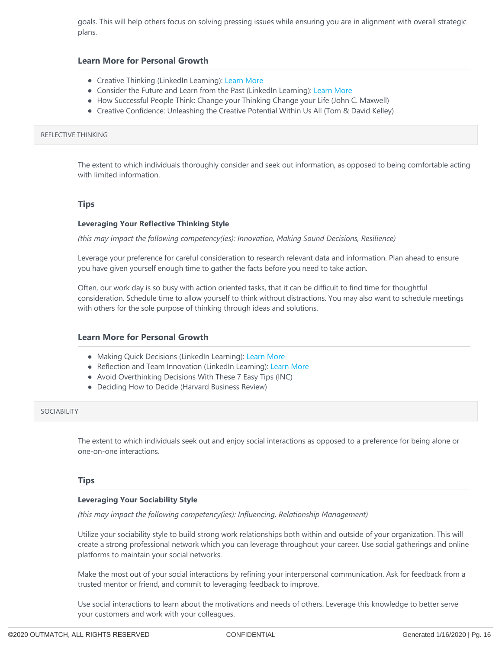goals. This will help others focus on solving pressing issues while ensuring you are in alignment with overall strategic plans.

#### **Learn More for Personal Growth**

- Creative Thinking (LinkedIn Learning): [Learn More](https://www.linkedin.com/learning/creative-thinking)
- Consider the Future and Learn from the Past (LinkedIn Learning): [Learn More](https://www.linkedin.com/learning/strategic-thinking/consider-the-future-and-learn-from-the-past)
- How Successful People Think: Change your Thinking Change your Life (John C. Maxwell)
- Creative Confidence: Unleashing the Creative Potential Within Us All (Tom & David Kelley)

#### REFLECTIVE THINKING

The extent to which individuals thoroughly consider and seek out information, as opposed to being comfortable acting with limited information.

#### **Tips**

#### **Leveraging Your Reflective Thinking Style**

*(this may impact the following competency(ies): Innovation, Making Sound Decisions, Resilience)*

Leverage your preference for careful consideration to research relevant data and information. Plan ahead to ensure you have given yourself enough time to gather the facts before you need to take action.

Often, our work day is so busy with action oriented tasks, that it can be difficult to find time for thoughtful consideration. Schedule time to allow yourself to think without distractions. You may also want to schedule meetings with others for the sole purpose of thinking through ideas and solutions.

#### **Learn More for Personal Growth**

- Making Quick Decisions (LinkedIn Learning): [Learn More](https://www.linkedin.com/learning/making-quick-decisions)
- Reflection and Team Innovation (LinkedIn Learning): [Learn More](https://www.linkedin.com/learning/enhancing-team-innovation/reflection-and-team-innovation)
- Avoid Overthinking Decisions With These 7 Easy Tips (INC)
- Deciding How to Decide (Harvard Business Review)

#### SOCIABILITY

The extent to which individuals seek out and enjoy social interactions as opposed to a preference for being alone or one‐on‐one interactions.

#### **Tips**

#### **Leveraging Your Sociability Style**

*(this may impact the following competency(ies): Influencing, Relationship Management)*

Utilize your sociability style to build strong work relationships both within and outside of your organization. This will create a strong professional network which you can leverage throughout your career. Use social gatherings and online platforms to maintain your social networks.

Make the most out of your social interactions by refining your interpersonal communication. Ask for feedback from a trusted mentor or friend, and commit to leveraging feedback to improve.

Use social interactions to learn about the motivations and needs of others. Leverage this knowledge to better serve your customers and work with your colleagues.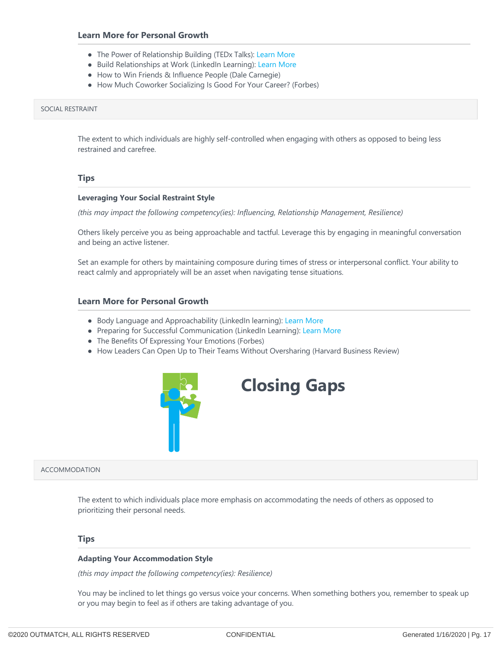- The Power of Relationship Building (TEDx Talks): [Learn More](https://www.youtube.com/watch?v=O5vU8oWNdE0)
- Build Relationships at Work (LinkedIn Learning): [Learn More](https://www.linkedin.com/learning/2-minute-tips-for-senior-leaders/building-relationships-at-work)
- How to Win Friends & Influence People (Dale Carnegie)
- How Much Coworker Socializing Is Good For Your Career? (Forbes)

#### SOCIAL RESTRAINT

The extent to which individuals are highly self-controlled when engaging with others as opposed to being less restrained and carefree.

#### **Tips**

#### **Leveraging Your Social Restraint Style**

*(this may impact the following competency(ies): Influencing, Relationship Management, Resilience)*

Others likely perceive you as being approachable and tactful. Leverage this by engaging in meaningful conversation and being an active listener.

Set an example for others by maintaining composure during times of stress or interpersonal conflict. Your ability to react calmly and appropriately will be an asset when navigating tense situations.

#### **Learn More for Personal Growth**

- Body Language and Approachability (LinkedIn learning): [Learn More](https://www.linkedin.com/learning/learning-to-be-approachable/body-language-and-approachability)
- Preparing for Successful Communication (LinkedIn Learning): [Learn More](https://www.linkedin.com/learning/preparing-for-successful-communication)
- The Benefits Of Expressing Your Emotions (Forbes)
- How Leaders Can Open Up to Their Teams Without Oversharing (Harvard Business Review)



# **Closing Gaps**

ACCOMMODATION

The extent to which individuals place more emphasis on accommodating the needs of others as opposed to prioritizing their personal needs.

#### **Tips**

#### **Adapting Your Accommodation Style**

*(this may impact the following competency(ies): Resilience)*

You may be inclined to let things go versus voice your concerns. When something bothers you, remember to speak up or you may begin to feel as if others are taking advantage of you.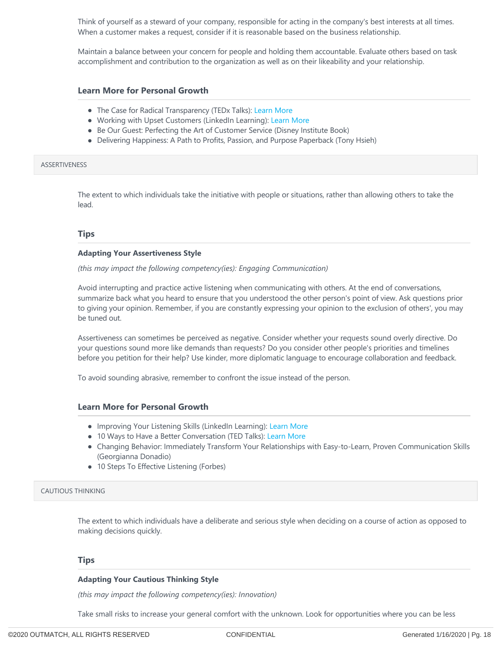Think of yourself as a steward of your company, responsible for acting in the company's best interests at all times. When a customer makes a request, consider if it is reasonable based on the business relationship.

Maintain a balance between your concern for people and holding them accountable. Evaluate others based on task accomplishment and contribution to the organization as well as on their likeability and your relationship.

#### **Learn More for Personal Growth**

- The Case for Radical Transparency (TEDx Talks): [Learn More](https://www.youtube.com/watch?v=oVKaXUB4EFg)
- Working with Upset Customers (LinkedIn Learning): [Learn More](https://www.linkedin.com/learning/working-with-upset-customers)
- Be Our Guest: Perfecting the Art of Customer Service (Disney Institute Book)
- Delivering Happiness: A Path to Profits, Passion, and Purpose Paperback (Tony Hsieh)

#### **ASSERTIVENESS**

The extent to which individuals take the initiative with people or situations, rather than allowing others to take the lead.

#### **Tips**

#### **Adapting Your Assertiveness Style**

*(this may impact the following competency(ies): Engaging Communication)*

Avoid interrupting and practice active listening when communicating with others. At the end of conversations, summarize back what you heard to ensure that you understood the other person's point of view. Ask questions prior to giving your opinion. Remember, if you are constantly expressing your opinion to the exclusion of others', you may be tuned out.

Assertiveness can sometimes be perceived as negative. Consider whether your requests sound overly directive. Do your questions sound more like demands than requests? Do you consider other people's priorities and timelines before you petition for their help? Use kinder, more diplomatic language to encourage collaboration and feedback.

To avoid sounding abrasive, remember to confront the issue instead of the person.

#### **Learn More for Personal Growth**

- Improving Your Listening Skills (LinkedIn Learning): [Learn More](https://www.linkedin.com/learning/improving-your-listening-skills)
- 10 Ways to Have a Better Conversation (TED Talks): [Learn More](https://www.ted.com/talks/celeste_headlee_10_ways_to_have_a_better_conversation)
- Changing Behavior: Immediately Transform Your Relationships with Easy‐to‐Learn, Proven Communication Skills (Georgianna Donadio)
- 10 Steps To Effective Listening (Forbes)

#### CAUTIOUS THINKING

The extent to which individuals have a deliberate and serious style when deciding on a course of action as opposed to making decisions quickly.

#### **Tips**

#### **Adapting Your Cautious Thinking Style**

*(this may impact the following competency(ies): Innovation)*

Take small risks to increase your general comfort with the unknown. Look for opportunities where you can be less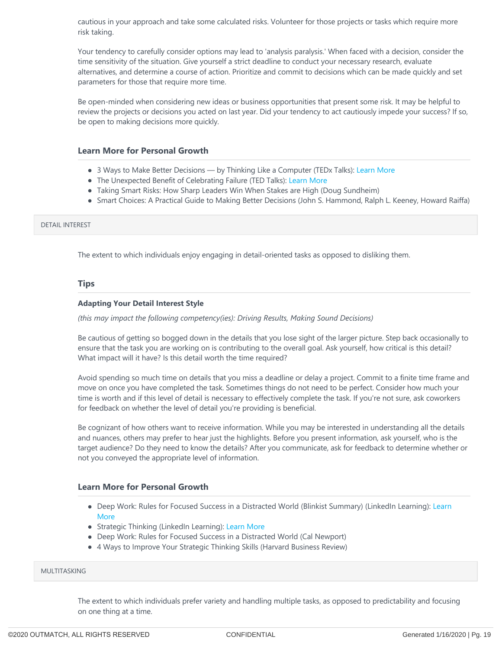cautious in your approach and take some calculated risks. Volunteer for those projects or tasks which require more risk taking.

Your tendency to carefully consider options may lead to 'analysis paralysis.' When faced with a decision, consider the time sensitivity of the situation. Give yourself a strict deadline to conduct your necessary research, evaluate alternatives, and determine a course of action. Prioritize and commit to decisions which can be made quickly and set parameters for those that require more time.

Be open-minded when considering new ideas or business opportunities that present some risk. It may be helpful to review the projects or decisions you acted on last year. Did your tendency to act cautiously impede your success? If so, be open to making decisions more quickly.

#### **Learn More for Personal Growth**

- 3 Ways to Make Better Decisions by Thinking Like a Computer (TEDx Talks): [Learn More](https://www.ted.com/talks/tom_griffiths_3_ways_to_make_better_decisions_by_thinking_like_a_computer?language=en)
- The Unexpected Benefit of Celebrating Failure (TED Talks): [Learn More](https://www.ted.com/talks/astro_teller_the_unexpected_benefit_of_celebrating_failure?language=en)
- Taking Smart Risks: How Sharp Leaders Win When Stakes are High (Doug Sundheim)
- Smart Choices: A Practical Guide to Making Better Decisions (John S. Hammond, Ralph L. Keeney, Howard Raiffa)

#### DETAIL INTEREST

The extent to which individuals enjoy engaging in detail‐oriented tasks as opposed to disliking them.

#### **Tips**

#### **Adapting Your Detail Interest Style**

*(this may impact the following competency(ies): Driving Results, Making Sound Decisions)*

Be cautious of getting so bogged down in the details that you lose sight of the larger picture. Step back occasionally to ensure that the task you are working on is contributing to the overall goal. Ask yourself, how critical is this detail? What impact will it have? Is this detail worth the time required?

Avoid spending so much time on details that you miss a deadline or delay a project. Commit to a finite time frame and move on once you have completed the task. Sometimes things do not need to be perfect. Consider how much your time is worth and if this level of detail is necessary to effectively complete the task. If you're not sure, ask coworkers for feedback on whether the level of detail you're providing is beneficial.

Be cognizant of how others want to receive information. While you may be interested in understanding all the details and nuances, others may prefer to hear just the highlights. Before you present information, ask yourself, who is the target audience? Do they need to know the details? After you communicate, ask for feedback to determine whether or not you conveyed the appropriate level of information.

#### **Learn More for Personal Growth**

- Deep Work: Rules for Focused Success in a Distracted World (Blinkist Summary) (LinkedIn Learning): Learn More
- Strategic Thinking (LinkedIn Learning): [Learn More](https://www.linkedin.com/learning/strategic-thinking)
- Deep Work: Rules for Focused Success in a Distracted World (Cal Newport)
- 4 Ways to Improve Your Strategic Thinking Skills (Harvard Business Review)

#### MULTITASKING

The extent to which individuals prefer variety and handling multiple tasks, as opposed to predictability and focusing on one thing at a time.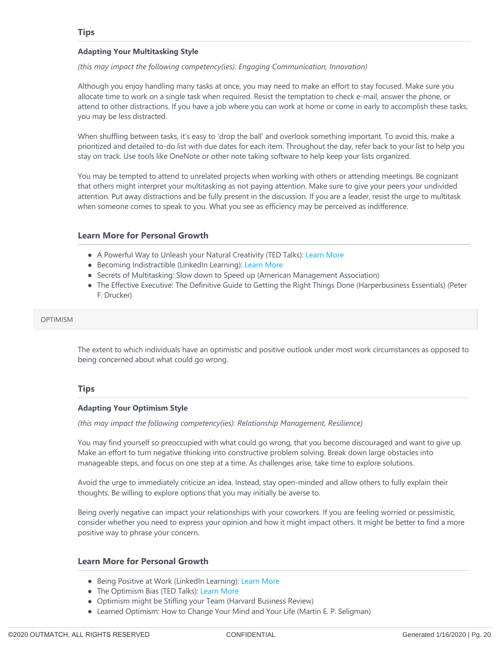#### **Adapting Your Multitasking Style**

*(this may impact the following competency(ies): Engaging Communication, Innovation)*

Although you enjoy handling many tasks at once, you may need to make an effort to stay focused. Make sure you allocate time to work on a single task when required. Resist the temptation to check e‐mail, answer the phone, or attend to other distractions. If you have a job where you can work at home or come in early to accomplish these tasks, you may be less distracted.

When shuffling between tasks, it's easy to 'drop the ball' and overlook something important. To avoid this, make a prioritized and detailed to‐do list with due dates for each item. Throughout the day, refer back to your list to help you stay on track. Use tools like OneNote or other note taking software to help keep your lists organized.

You may be tempted to attend to unrelated projects when working with others or attending meetings. Be cognizant that others might interpret your multitasking as not paying attention. Make sure to give your peers your undivided attention. Put away distractions and be fully present in the discussion. If you are a leader, resist the urge to multitask when someone comes to speak to you. What you see as efficiency may be perceived as indifference.

#### **Learn More for Personal Growth**

- A Powerful Way to Unleash your Natural Creativity (TED Talks): [Learn More](https://www.youtube.com/watch?v=yjYrxcGSWX4)
- Becoming Indistractible (LinkedIn Learning): [Learn More](https://www.linkedin.com/learning/becoming-indistractable)
- Secrets of Multitasking: Slow down to Speed up (American Management Association)
- The Effective Executive: The Definitive Guide to Getting the Right Things Done (Harperbusiness Essentials) (Peter F. Drucker)

#### **OPTIMISM**

The extent to which individuals have an optimistic and positive outlook under most work circumstances as opposed to being concerned about what could go wrong.

#### **Tips**

#### **Adapting Your Optimism Style**

*(this may impact the following competency(ies): Relationship Management, Resilience)*

You may find yourself so preoccupied with what could go wrong, that you become discouraged and want to give up. Make an effort to turn negative thinking into constructive problem solving. Break down large obstacles into manageable steps, and focus on one step at a time. As challenges arise, take time to explore solutions.

Avoid the urge to immediately criticize an idea. Instead, stay open‐minded and allow others to fully explain their thoughts. Be willing to explore options that you may initially be averse to.

Being overly negative can impact your relationships with your coworkers. If you are feeling worried or pessimistic, consider whether you need to express your opinion and how it might impact others. It might be better to find a more positive way to phrase your concern.

#### **Learn More for Personal Growth**

- Being Positive at Work (LinkedIn Learning): [Learn More](https://www.linkedin.com/learning/being-positive-at-work)
- The Optimism Bias (TED Talks): [Learn More](https://www.ted.com/talks/tali_sharot_the_optimism_bias?language=en)
- Optimism might be Stifling your Team (Harvard Business Review)
- Learned Optimism: How to Change Your Mind and Your Life (Martin E. P. Seligman)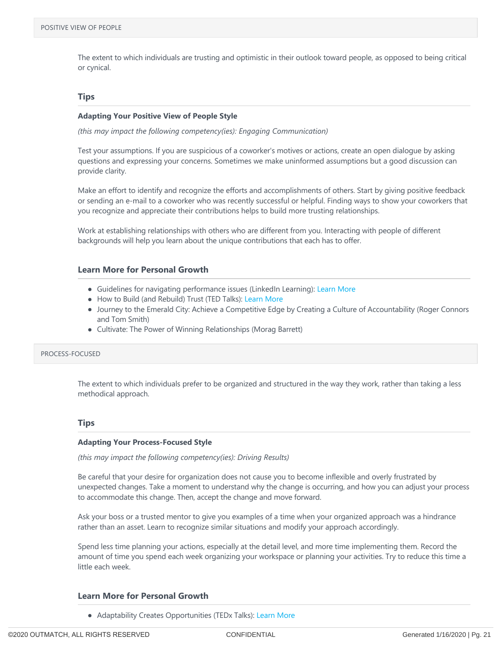The extent to which individuals are trusting and optimistic in their outlook toward people, as opposed to being critical or cynical.

#### **Tips**

#### **Adapting Your Positive View of People Style**

*(this may impact the following competency(ies): Engaging Communication)*

Test your assumptions. If you are suspicious of a coworker's motives or actions, create an open dialogue by asking questions and expressing your concerns. Sometimes we make uninformed assumptions but a good discussion can provide clarity.

Make an effort to identify and recognize the efforts and accomplishments of others. Start by giving positive feedback or sending an e‐mail to a coworker who was recently successful or helpful. Finding ways to show your coworkers that you recognize and appreciate their contributions helps to build more trusting relationships.

Work at establishing relationships with others who are different from you. Interacting with people of different backgrounds will help you learn about the unique contributions that each has to offer.

#### **Learn More for Personal Growth**

- Guidelines for navigating performance issues (LinkedIn Learning): [Learn More](https://www.linkedin.com/learning/coaching-for-results/guidelines-for-navigating-performance-issues)
- How to Build (and Rebuild) Trust (TED Talks): [Learn More](https://www.ted.com/talks/frances_frei_how_to_build_and_rebuild_trust/transcript?language=en)
- Journey to the Emerald City: Achieve a Competitive Edge by Creating a Culture of Accountability (Roger Connors and Tom Smith)
- Cultivate: The Power of Winning Relationships (Morag Barrett)

#### PROCESS‐FOCUSED

The extent to which individuals prefer to be organized and structured in the way they work, rather than taking a less methodical approach.

#### **Tips**

#### **Adapting Your Process‐Focused Style**

*(this may impact the following competency(ies): Driving Results)*

Be careful that your desire for organization does not cause you to become inflexible and overly frustrated by unexpected changes. Take a moment to understand why the change is occurring, and how you can adjust your process to accommodate this change. Then, accept the change and move forward.

Ask your boss or a trusted mentor to give you examples of a time when your organized approach was a hindrance rather than an asset. Learn to recognize similar situations and modify your approach accordingly.

Spend less time planning your actions, especially at the detail level, and more time implementing them. Record the amount of time you spend each week organizing your workspace or planning your activities. Try to reduce this time a little each week.

#### **Learn More for Personal Growth**

• Adaptability Creates Opportunities (TEDx Talks): [Learn More](https://www.youtube.com/watch?v=hXqqruJF9gI)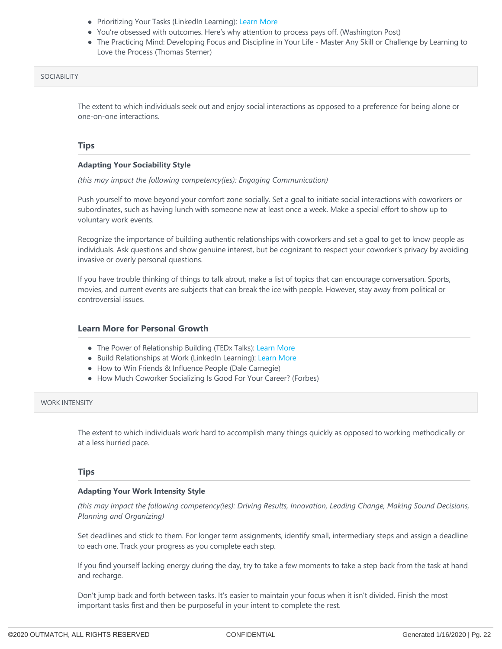- Prioritizing Your Tasks (LinkedIn Learning): [Learn More](https://www.linkedin.com/learning/prioritizing-your-tasks)
- You're obsessed with outcomes. Here's why attention to process pays off. (Washington Post)
- The Practicing Mind: Developing Focus and Discipline in Your Life Master Any Skill or Challenge by Learning to Love the Process (Thomas Sterner)

#### SOCIABILITY

The extent to which individuals seek out and enjoy social interactions as opposed to a preference for being alone or one‐on‐one interactions.

#### **Tips**

#### **Adapting Your Sociability Style**

*(this may impact the following competency(ies): Engaging Communication)*

Push yourself to move beyond your comfort zone socially. Set a goal to initiate social interactions with coworkers or subordinates, such as having lunch with someone new at least once a week. Make a special effort to show up to voluntary work events.

Recognize the importance of building authentic relationships with coworkers and set a goal to get to know people as individuals. Ask questions and show genuine interest, but be cognizant to respect your coworker's privacy by avoiding invasive or overly personal questions.

If you have trouble thinking of things to talk about, make a list of topics that can encourage conversation. Sports, movies, and current events are subjects that can break the ice with people. However, stay away from political or controversial issues.

#### **Learn More for Personal Growth**

- The Power of Relationship Building (TEDx Talks): [Learn More](https://www.youtube.com/watch?v=O5vU8oWNdE0)
- Build Relationships at Work (LinkedIn Learning): [Learn More](https://www.linkedin.com/learning/2-minute-tips-for-senior-leaders/building-relationships-at-work)
- How to Win Friends & Influence People (Dale Carnegie)
- How Much Coworker Socializing Is Good For Your Career? (Forbes)

#### WORK INTENSITY

The extent to which individuals work hard to accomplish many things quickly as opposed to working methodically or at a less hurried pace.

#### **Tips**

#### **Adapting Your Work Intensity Style**

*(this may impact the following competency(ies): Driving Results, Innovation, Leading Change, Making Sound Decisions, Planning and Organizing)*

Set deadlines and stick to them. For longer term assignments, identify small, intermediary steps and assign a deadline to each one. Track your progress as you complete each step.

If you find yourself lacking energy during the day, try to take a few moments to take a step back from the task at hand and recharge.

Don't jump back and forth between tasks. It's easier to maintain your focus when it isn't divided. Finish the most important tasks first and then be purposeful in your intent to complete the rest.